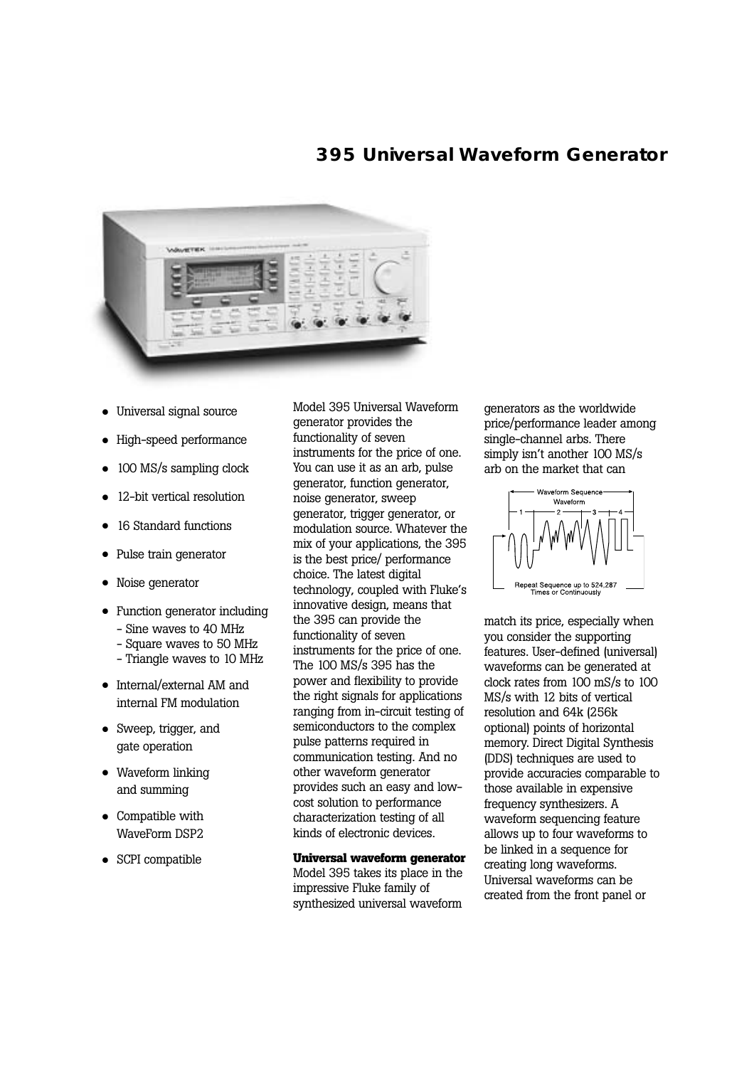# **395 Universal Waveform Generator**



- **•** Universal signal source
- **•** High-speed performance
- **•** 100 MS/s sampling clock
- **•** 12-bit vertical resolution
- **•** 16 Standard functions
- **•** Pulse train generator
- **•** Noise generator
- **•** Function generator including
	- Sine waves to 40 MHz
	- Square waves to 50 MHz
	- Triangle waves to 10 MHz
- **•** Internal/external AM and internal FM modulation
- **•** Sweep, trigger, and gate operation
- **•** Waveform linking and summing
- **•** Compatible with WaveForm DSP2
- **•** SCPI compatible

Model 395 Universal Waveform generator provides the functionality of seven instruments for the price of one. You can use it as an arb, pulse generator, function generator, noise generator, sweep generator, trigger generator, or modulation source. Whatever the mix of your applications, the 395 is the best price/ performance choice. The latest digital technology, coupled with Fluke's innovative design, means that the 395 can provide the functionality of seven instruments for the price of one. The 100 MS/s 395 has the power and flexibility to provide the right signals for applications ranging from in-circuit testing of semiconductors to the complex pulse patterns required in communication testing. And no other waveform generator provides such an easy and lowcost solution to performance characterization testing of all kinds of electronic devices.

**Universal waveform generator**  Model 395 takes its place in the impressive Fluke family of synthesized universal waveform

generators as the worldwide price/performance leader among single-channel arbs. There simply isn't another 100 MS/s arb on the market that can



match its price, especially when you consider the supporting features. User-defined (universal) waveforms can be generated at clock rates from 100 mS/s to 100 MS/s with 12 bits of vertical resolution and 64k (256k optional) points of horizontal memory. Direct Digital Synthesis (DDS) techniques are used to provide accuracies comparable to those available in expensive frequency synthesizers. A waveform sequencing feature allows up to four waveforms to be linked in a sequence for creating long waveforms. Universal waveforms can be created from the front panel or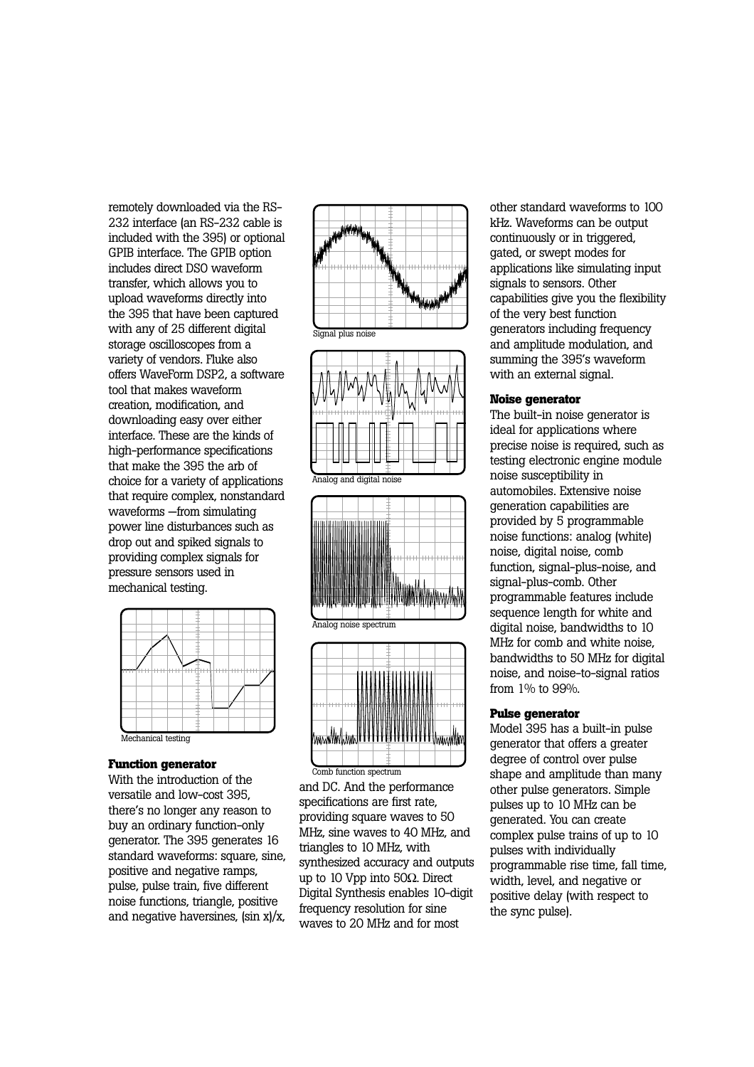remotely downloaded via the RS-232 interface (an RS-232 cable is included with the 395) or optional GPIB interface. The GPIB option includes direct DSO waveform transfer, which allows you to upload waveforms directly into the 395 that have been captured with any of 25 different digital storage oscilloscopes from a variety of vendors. Fluke also offers WaveForm DSP2, a software tool that makes waveform creation, modification, and downloading easy over either interface. These are the kinds of high-performance specifications that make the 395 the arb of choice for a variety of applications that require complex, nonstandard waveforms —from simulating power line disturbances such as drop out and spiked signals to providing complex signals for pressure sensors used in mechanical testing.



#### **Function generator**

With the introduction of the versatile and low-cost 395, there's no longer any reason to buy an ordinary function-only generator. The 395 generates 16 standard waveforms: square, sine, positive and negative ramps, pulse, pulse train, five different noise functions, triangle, positive and negative haversines, (sin x)/x,





Analog and digital noise







Comb function spectrum

and DC. And the performance specifications are first rate, providing square waves to 50 MHz, sine waves to 40 MHz, and triangles to 10 MHz, with synthesized accuracy and outputs up to 10 Vpp into 50Ω. Direct Digital Synthesis enables 10-digit frequency resolution for sine waves to 20 MHz and for most

other standard waveforms to 100 kHz. Waveforms can be output continuously or in triggered, gated, or swept modes for applications like simulating input signals to sensors. Other capabilities give you the flexibility of the very best function generators including frequency and amplitude modulation, and summing the 395's waveform with an external signal.

### **Noise generator**

The built-in noise generator is ideal for applications where precise noise is required, such as testing electronic engine module noise susceptibility in automobiles. Extensive noise generation capabilities are provided by 5 programmable noise functions: analog (white) noise, digital noise, comb function, signal-plus-noise, and signal-plus-comb. Other programmable features include sequence length for white and digital noise, bandwidths to 10 MHz for comb and white noise, bandwidths to 50 MHz for digital noise, and noise-to-signal ratios from 1% to 99%.

### **Pulse generator**

Model 395 has a built-in pulse generator that offers a greater degree of control over pulse shape and amplitude than many other pulse generators. Simple pulses up to 10 MHz can be generated. You can create complex pulse trains of up to 10 pulses with individually programmable rise time, fall time, width, level, and negative or positive delay (with respect to the sync pulse).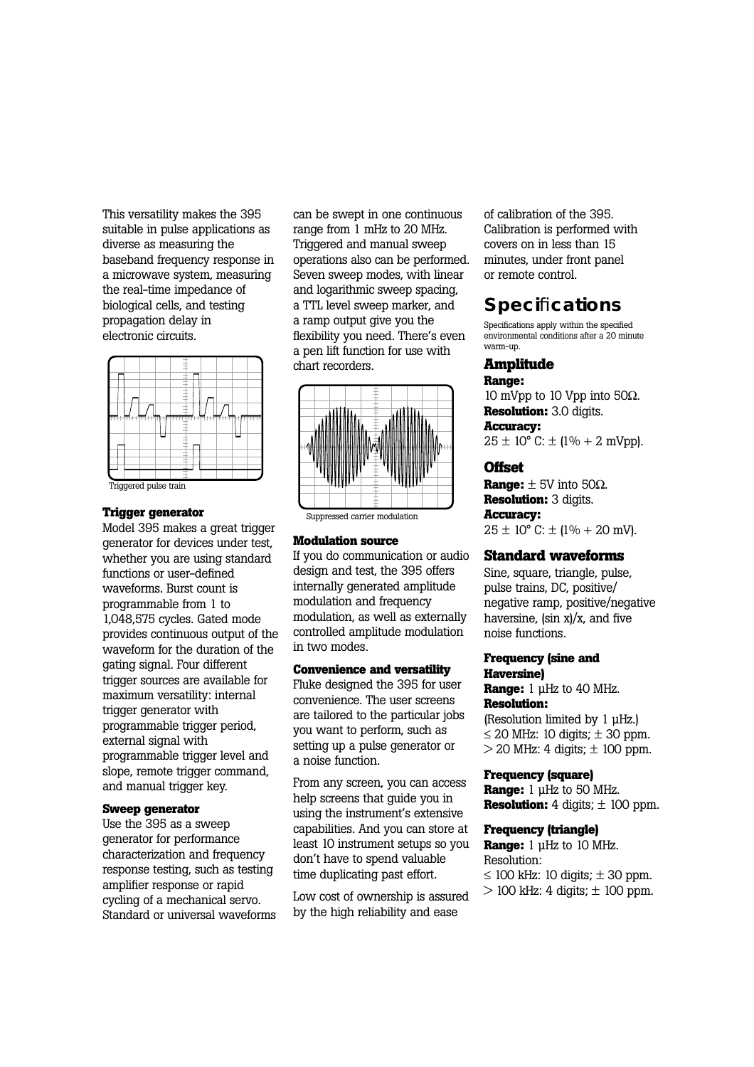This versatility makes the 395 suitable in pulse applications as diverse as measuring the baseband frequency response in a microwave system, measuring the real-time impedance of biological cells, and testing propagation delay in electronic circuits.



#### **Trigger generator**

Model 395 makes a great trigger generator for devices under test, whether you are using standard functions or user-defined waveforms. Burst count is programmable from 1 to 1,048,575 cycles. Gated mode provides continuous output of the waveform for the duration of the gating signal. Four different trigger sources are available for maximum versatility: internal trigger generator with programmable trigger period, external signal with programmable trigger level and slope, remote trigger command. and manual trigger key.

### **Sweep generator**

Use the 395 as a sweep generator for performance characterization and frequency response testing, such as testing amplifier response or rapid cycling of a mechanical servo. Standard or universal waveforms can be swept in one continuous range from 1 mHz to 20 MHz. Triggered and manual sweep operations also can be performed. Seven sweep modes, with linear and logarithmic sweep spacing, a TTL level sweep marker, and a ramp output give you the flexibility you need. There's even a pen lift function for use with chart recorders.



#### **Modulation source**

If you do communication or audio design and test, the 395 offers internally generated amplitude modulation and frequency modulation, as well as externally controlled amplitude modulation in two modes.

#### **Convenience and versatility**

Fluke designed the 395 for user convenience. The user screens are tailored to the particular jobs you want to perform, such as setting up a pulse generator or a noise function.

From any screen, you can access help screens that guide you in using the instrument's extensive capabilities. And you can store at least 10 instrument setups so you don't have to spend valuable time duplicating past effort.

Low cost of ownership is assured by the high reliability and ease

of calibration of the 395. Calibration is performed with covers on in less than 15 minutes, under front panel or remote control.

# **Speci**fi**cations**

Specifications apply within the specified environmental conditions after a 20 minute warm-up.

# **Amplitude**

**Range:**

10 mVpp to 10 Vpp into 50Ω. **Resolution:** 3.0 digits. **Accuracy:**  $25 \pm 10^{\circ}$  C:  $\pm$  (1% + 2 mVpp).

### **Offset**

**Range:**  $\pm$  5V into 50 $\Omega$ . **Resolution:** 3 digits. **Accuracy:**  $25 \pm 10^{\circ}$  C:  $\pm$  (1% + 20 mV).

### **Standard waveforms**

Sine, square, triangle, pulse, pulse trains, DC, positive/ negative ramp, positive/negative haversine, (sin x)/x, and five noise functions.

### **Frequency (sine and Haversine)**

**Range:** 1 µHz to 40 MHz. **Resolution:** (Resolution limited by 1 µHz.)

 $\leq$  20 MHz: 10 digits;  $\pm$  30 ppm.  $>$  20 MHz: 4 digits;  $\pm$  100 ppm.

## **Frequency (square)**

**Range:** 1 µHz to 50 MHz. **Resolution:**  $4 \text{ digits}$ ;  $\pm 100 \text{ ppm}$ .

### **Frequency (triangle)**

**Range:** 1 µHz to 10 MHz. Resolution:  $\leq$  100 kHz: 10 digits;  $\pm$  30 ppm.

 $>$  100 kHz: 4 digits;  $\pm$  100 ppm.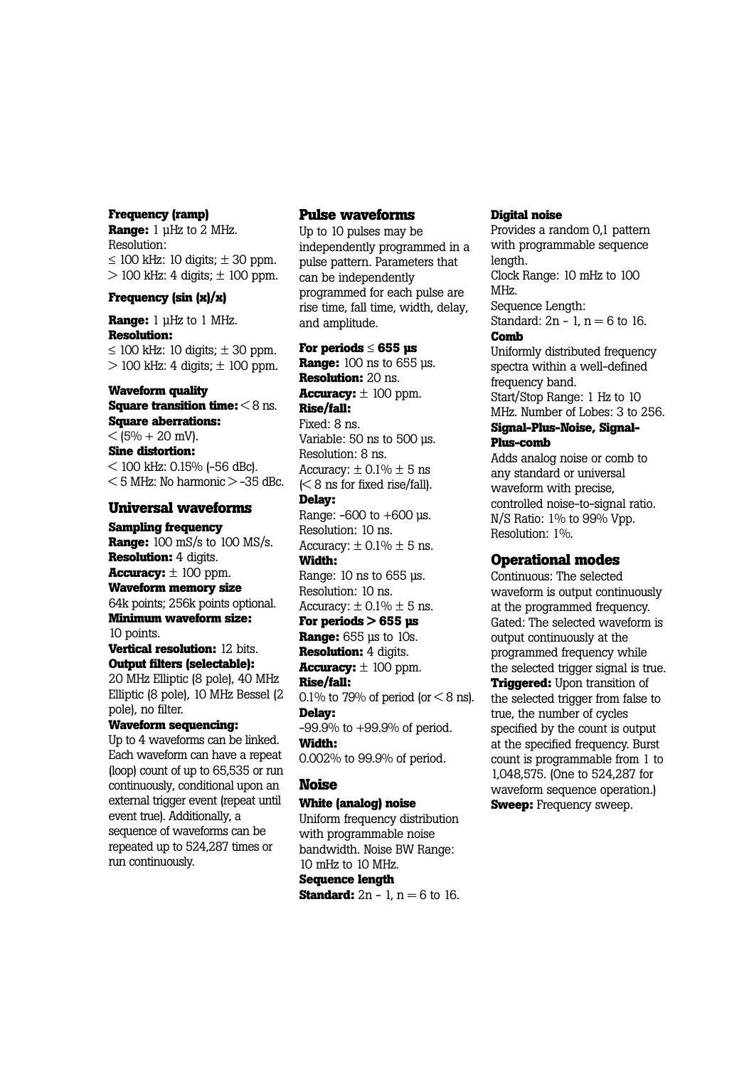### **Frequency (ramp)**

**Range:** 1 µHz to 2 MHz. Resolution:  $\leq$  100 kHz; 10 digits;  $\pm$  30 ppm.  $> 100$  kHz: 4 digits;  $\pm 100$  ppm.

## **Frequency (sin (x)/x)**

**Range:** 1 µHz to 1 MHz. **Resolution:**  $\leq$  100 kHz: 10 digits;  $\pm$  30 ppm.  $>$  100 kHz: 4 digits;  $\pm$  100 ppm.

# **Waveform quality Square transition time:** < 8 ns. **Square aberrations:**  $<$  (5% + 20 mV). **Sine distortion:**   $<$  100 kHz: 0.15% (-56 dBc).  $<$  5 MHz: No harmonic  $>$  -35 dBc.

### **Universal waveforms**

**Sampling frequency Range:** 100 mS/s to 100 MS/s. **Resolution:** 4 digits. **Accuracy:**  $\pm$  100 ppm. **Waveform memory size** 64k points; 256k points optional. **Minimum waveform size:** 10 points. **Vertical resolution:** 12 bits. **Output filters (selectable):** 20 MHz Elliptic (8 pole), 40 MHz

Elliptic (8 pole), 10 MHz Bessel (2 pole), no filter.

# **Waveform sequencing:**

Up to 4 waveforms can be linked. Each waveform can have a repeat (loop) count of up to 65,535 or run continuously, conditional upon an external trigger event (repeat until event true). Additionally, a sequence of waveforms can be repeated up to 524,287 times or run continuously.

# **Pulse waveforms**

Up to 10 pulses may be independently programmed in a pulse pattern. Parameters that can be independently programmed for each pulse are rise time, fall time, width, delay, and amplitude.

**For periods** ≤ **655 µs Range:** 100 ns to 655 µs. **Resolution:** 20 ns. **Accuracy:** ± 100 ppm. **Rise/fall:** Fixed: 8 ns. Variable: 50 ns to 500 µs. Resolution: 8 ns. Accuracy:  $\pm$  0.1%  $\pm$  5 ns  $\leq 8$  ns for fixed rise/fall). **Delay:** Range:  $-600$  to  $+600$  us. Resolution: 10 ns. Accuracy:  $\pm$  0.1%  $\pm$  5 ns. **Width:** Range: 10 ns to 655 µs.

Resolution: 10 ns. Accuracy:  $\pm$  0.1%  $\pm$  5 ns.

# **For periods > 655 µs**

**Range:** 655 µs to 10s. **Resolution:** 4 digits. **Accuracy:**  $\pm$  100 ppm. **Rise/fall:** 0.1% to 79% of period (or  $\leq$  8 ns). **Delay:** -99.9% to +99.9% of period. **Width:** 0.002% to 99.9% of period.

# **Noise**

# **White (analog) noise**

Uniform frequency distribution with programmable noise bandwidth. Noise BW Range: 10 mHz to 10 MHz. **Sequence length Standard:**  $2n - 1$ ,  $n = 6$  to 16.

# **Digital noise**

Provides a random 0,1 pattern with programmable sequence length. Clock Range: 10 mHz to 100 MHz. Sequence Length: Standard:  $2n - 1$ ,  $n = 6$  to 16. **Comb** Uniformly distributed frequency spectra within a well-defined

frequency band. Start/Stop Range: 1 Hz to 10 MHz. Number of Lobes: 3 to 256.

**Signal-Plus-Noise, Signal-Plus-comb**

Adds analog noise or comb to any standard or universal waveform with precise, controlled noise-to-signal ratio. N/S Ratio: 1% to 99% Vpp. Resolution: 1%.

# **Operational modes**

Continuous: The selected waveform is output continuously at the programmed frequency. Gated: The selected waveform is output continuously at the programmed frequency while the selected trigger signal is true. **Triggered:** Upon transition of the selected trigger from false to true, the number of cycles specified by the count is output at the specified frequency. Burst count is programmable from 1 to 1,048,575. (One to 524,287 for waveform sequence operation.) **Sweep:** Frequency sweep.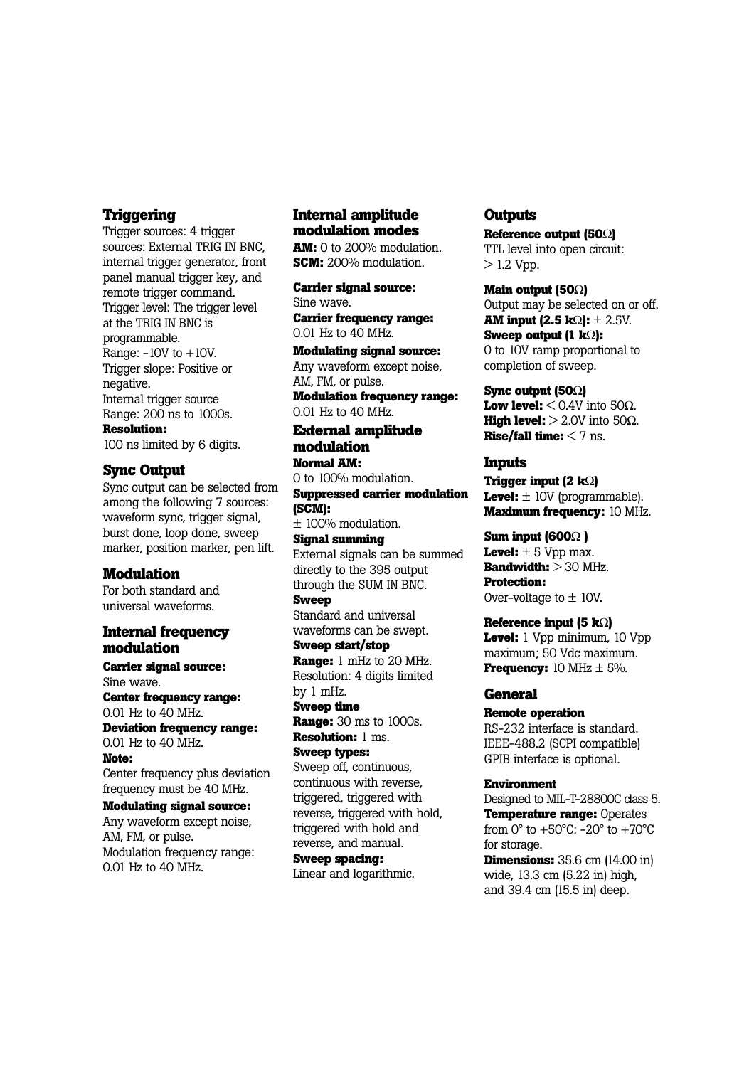# **Triggering**

Trigger sources: 4 trigger sources: External TRIG IN BNC. internal trigger generator, front panel manual trigger key, and remote trigger command. Trigger level: The trigger level at the TRIG IN BNC is programmable. Range:  $-10V$  to  $+10V$ . Trigger slope: Positive or negative. Internal trigger source Range: 200 ns to 1000s. **Resolution:** 100 ns limited by 6 digits.

### **Sync Output**

Sync output can be selected from among the following 7 sources: waveform sync, trigger signal, burst done, loop done, sweep marker, position marker, pen lift.

### **Modulation**

For both standard and universal waveforms.

# **Internal frequency modulation**

**Carrier signal source:** Sine wave. **Center frequency range:** 

0.01 Hz to 40 MHz. **Deviation frequency range:**

0.01 Hz to 40 MHz. **Note:** 

Center frequency plus deviation frequency must be 40 MHz.

**Modulating signal source:** Any waveform except noise, AM, FM, or pulse. Modulation frequency range: 0.01 Hz to 40 MHz.

# **Internal amplitude modulation modes**

**AM:** 0 to 200% modulation. **SCM:** 200% modulation.

**Carrier signal source:** Sine wave. **Carrier frequency range:** 

0.01 Hz to 40 MHz. **Modulating signal source:**

Any waveform except noise, AM, FM, or pulse.

**Modulation frequency range:**  0.01 Hz to 40 MHz.

### **External amplitude modulation Normal AM:**

0 to 100% modulation. **Suppressed carrier modulation (SCM):** ± 100% modulation. **Signal summing**  External signals can be summed directly to the 395 output through the SUM IN BNC. **Sweep**  Standard and universal waveforms can be swept. **Sweep start/stop Range:** 1 mHz to 20 MHz.

Resolution: 4 digits limited by 1 mHz.

**Sweep time Range:** 30 ms to 1000s.

**Resolution:** 1 ms. **Sweep types:** Sweep off, continuous, continuous with reverse, triggered, triggered with reverse, triggered with hold, triggered with hold and reverse, and manual.

**Sweep spacing:** Linear and logarithmic.

# **Outputs**

**Reference output (50**Ω**)** TTL level into open circuit:  $> 1.2$  Vpp.

**Main output (50**Ω**)** Output may be selected on or off. **AM input (2.5 k**Ω**):** ± 2.5V. **Sweep output (1 k**Ω**):** 0 to 10V ramp proportional to completion of sweep.

**Sync output (50**Ω**) Low level:**  $< 0.4V$  into 50 $\Omega$ . **High level:**  $> 2.0V$  into 50 $\Omega$ . **Rise/fall time:** < 7 ns.

### **Inputs**

**Trigger input (2 k**Ω**) Level:**  $\pm$  10V (programmable). **Maximum frequency:** 10 MHz.

## **Sum input (600**Ω **)**

**Level:**  $\pm$  5 Vpp max. **Bandwidth:** > 30 MHz. **Protection:** Over-voltage to  $\pm$  10V.

**Reference input (5 k**Ω**) Level:** 1 Vpp minimum, 10 Vpp maximum; 50 Vdc maximum. **Frequency:** 10 MHz  $\pm$  5%.

# **General**

**Remote operation** RS-232 interface is standard. IEEE-488.2 (SCPI compatible) GPIB interface is optional.

# **Environment**

Designed to MIL-T-28800C class 5. **Temperature range:** Operates from 0° to +50°C: -20° to +70°C for storage. **Dimensions:** 35.6 cm (14.00 in)

wide, 13.3 cm (5.22 in) high, and 39.4 cm (15.5 in) deep.